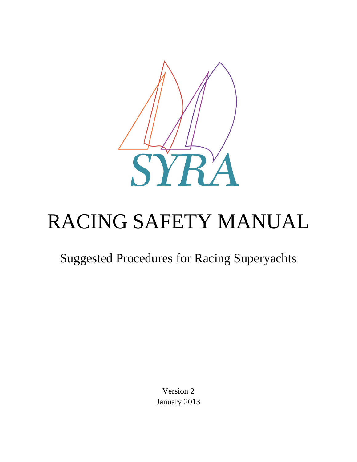

# RACING SAFETY MANUAL

# Suggested Procedures for Racing Superyachts

Version 2 January 2013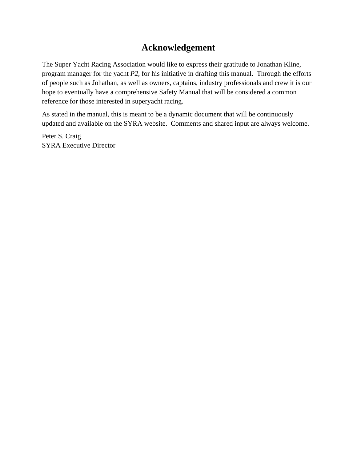#### **Acknowledgement**

The Super Yacht Racing Association would like to express their gratitude to Jonathan Kline, program manager for the yacht *P2,* for his initiative in drafting this manual. Through the efforts of people such as Johathan, as well as owners, captains, industry professionals and crew it is our hope to eventually have a comprehensive Safety Manual that will be considered a common reference for those interested in superyacht racing.

As stated in the manual, this is meant to be a dynamic document that will be continuously updated and available on the SYRA website. Comments and shared input are always welcome.

Peter S. Craig SYRA Executive Director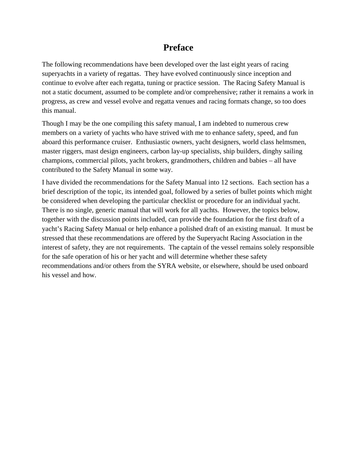#### **Preface**

The following recommendations have been developed over the last eight years of racing superyachts in a variety of regattas. They have evolved continuously since inception and continue to evolve after each regatta, tuning or practice session. The Racing Safety Manual is not a static document, assumed to be complete and/or comprehensive; rather it remains a work in progress, as crew and vessel evolve and regatta venues and racing formats change, so too does this manual.

Though I may be the one compiling this safety manual, I am indebted to numerous crew members on a variety of yachts who have strived with me to enhance safety, speed, and fun aboard this performance cruiser. Enthusiastic owners, yacht designers, world class helmsmen, master riggers, mast design engineers, carbon lay-up specialists, ship builders, dinghy sailing champions, commercial pilots, yacht brokers, grandmothers, children and babies – all have contributed to the Safety Manual in some way.

I have divided the recommendations for the Safety Manual into 12 sections. Each section has a brief description of the topic, its intended goal, followed by a series of bullet points which might be considered when developing the particular checklist or procedure for an individual yacht. There is no single, generic manual that will work for all yachts. However, the topics below, together with the discussion points included, can provide the foundation for the first draft of a yacht's Racing Safety Manual or help enhance a polished draft of an existing manual. It must be stressed that these recommendations are offered by the Superyacht Racing Association in the interest of safety, they are not requirements. The captain of the vessel remains solely responsible for the safe operation of his or her yacht and will determine whether these safety recommendations and/or others from the SYRA website, or elsewhere, should be used onboard his vessel and how.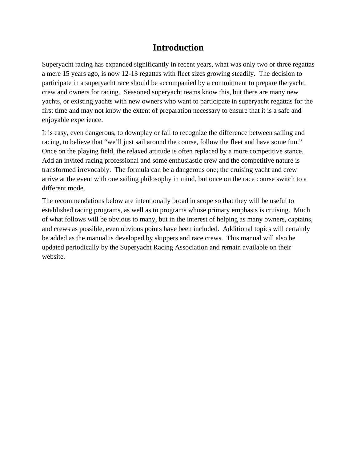#### **Introduction**

Superyacht racing has expanded significantly in recent years, what was only two or three regattas a mere 15 years ago, is now 12-13 regattas with fleet sizes growing steadily. The decision to participate in a superyacht race should be accompanied by a commitment to prepare the yacht, crew and owners for racing. Seasoned superyacht teams know this, but there are many new yachts, or existing yachts with new owners who want to participate in superyacht regattas for the first time and may not know the extent of preparation necessary to ensure that it is a safe and enjoyable experience.

It is easy, even dangerous, to downplay or fail to recognize the difference between sailing and racing, to believe that "we'll just sail around the course, follow the fleet and have some fun." Once on the playing field, the relaxed attitude is often replaced by a more competitive stance. Add an invited racing professional and some enthusiastic crew and the competitive nature is transformed irrevocably. The formula can be a dangerous one; the cruising yacht and crew arrive at the event with one sailing philosophy in mind, but once on the race course switch to a different mode.

The recommendations below are intentionally broad in scope so that they will be useful to established racing programs, as well as to programs whose primary emphasis is cruising. Much of what follows will be obvious to many, but in the interest of helping as many owners, captains, and crews as possible, even obvious points have been included. Additional topics will certainly be added as the manual is developed by skippers and race crews. This manual will also be updated periodically by the Superyacht Racing Association and remain available on their website.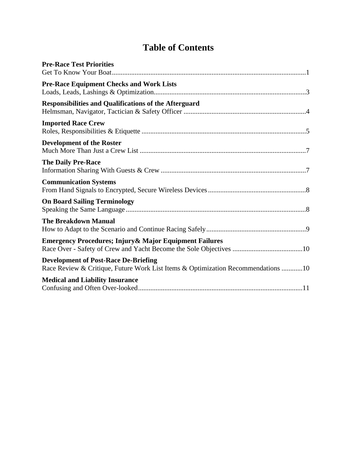## **Table of Contents**

| <b>Pre-Race Test Priorities</b>                                                                                                 |
|---------------------------------------------------------------------------------------------------------------------------------|
| <b>Pre-Race Equipment Checks and Work Lists</b>                                                                                 |
| <b>Responsibilities and Qualifications of the Afterguard</b>                                                                    |
| <b>Imported Race Crew</b>                                                                                                       |
| <b>Development of the Roster</b>                                                                                                |
| <b>The Daily Pre-Race</b>                                                                                                       |
| <b>Communication Systems</b>                                                                                                    |
| <b>On Board Sailing Terminology</b>                                                                                             |
| <b>The Breakdown Manual</b>                                                                                                     |
| Emergency Procedures; Injury & Major Equipment Failures                                                                         |
| <b>Development of Post-Race De-Briefing</b><br>Race Review & Critique, Future Work List Items & Optimization Recommendations 10 |
| <b>Medical and Liability Insurance</b>                                                                                          |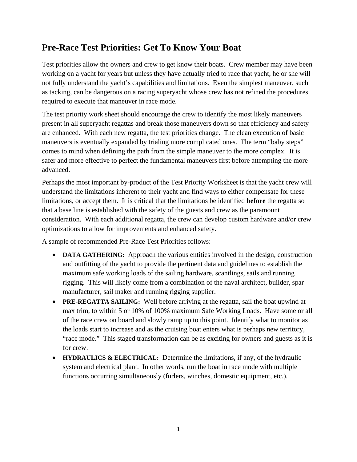#### **Pre-Race Test Priorities: Get To Know Your Boat**

Test priorities allow the owners and crew to get know their boats. Crew member may have been working on a yacht for years but unless they have actually tried to race that yacht, he or she will not fully understand the yacht's capabilities and limitations. Even the simplest maneuver, such as tacking, can be dangerous on a racing superyacht whose crew has not refined the procedures required to execute that maneuver in race mode.

The test priority work sheet should encourage the crew to identify the most likely maneuvers present in all superyacht regattas and break those maneuvers down so that efficiency and safety are enhanced. With each new regatta, the test priorities change. The clean execution of basic maneuvers is eventually expanded by trialing more complicated ones. The term "baby steps" comes to mind when defining the path from the simple maneuver to the more complex. It is safer and more effective to perfect the fundamental maneuvers first before attempting the more advanced.

Perhaps the most important by-product of the Test Priority Worksheet is that the yacht crew will understand the limitations inherent to their yacht and find ways to either compensate for these limitations, or accept them. It is critical that the limitations be identified **before** the regatta so that a base line is established with the safety of the guests and crew as the paramount consideration. With each additional regatta, the crew can develop custom hardware and/or crew optimizations to allow for improvements and enhanced safety.

A sample of recommended Pre-Race Test Priorities follows:

- **DATA GATHERING:** Approach the various entities involved in the design, construction and outfitting of the yacht to provide the pertinent data and guidelines to establish the maximum safe working loads of the sailing hardware, scantlings, sails and running rigging. This will likely come from a combination of the naval architect, builder, spar manufacturer, sail maker and running rigging supplier.
- **PRE-REGATTA SAILING:** Well before arriving at the regatta, sail the boat upwind at max trim, to within 5 or 10% of 100% maximum Safe Working Loads. Have some or all of the race crew on board and slowly ramp up to this point. Identify what to monitor as the loads start to increase and as the cruising boat enters what is perhaps new territory, "race mode." This staged transformation can be as exciting for owners and guests as it is for crew.
- **HYDRAULICS & ELECTRICAL:** Determine the limitations, if any, of the hydraulic system and electrical plant. In other words, run the boat in race mode with multiple functions occurring simultaneously (furlers, winches, domestic equipment, etc.).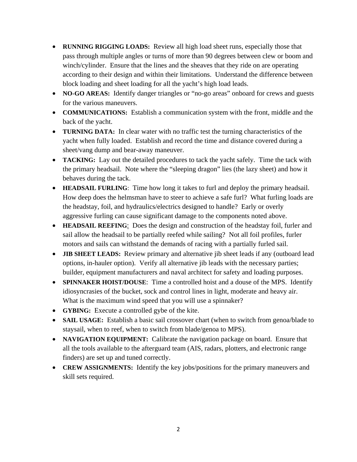- **RUNNING RIGGING LOADS:** Review all high load sheet runs, especially those that pass through multiple angles or turns of more than 90 degrees between clew or boom and winch/cylinder. Ensure that the lines and the sheaves that they ride on are operating according to their design and within their limitations. Understand the difference between block loading and sheet loading for all the yacht's high load leads.
- **NO-GO AREAS:** Identify danger triangles or "no-go areas" onboard for crews and guests for the various maneuvers.
- **COMMUNICATIONS:** Establish a communication system with the front, middle and the back of the yacht.
- **TURNING DATA:** In clear water with no traffic test the turning characteristics of the yacht when fully loaded. Establish and record the time and distance covered during a sheet/vang dump and bear-away maneuver.
- **TACKING:** Lay out the detailed procedures to tack the yacht safely. Time the tack with the primary headsail. Note where the "sleeping dragon" lies (the lazy sheet) and how it behaves during the tack.
- **HEADSAIL FURLING**: Time how long it takes to furl and deploy the primary headsail. How deep does the helmsman have to steer to achieve a safe furl? What furling loads are the headstay, foil, and hydraulics/electrics designed to handle? Early or overly aggressive furling can cause significant damage to the components noted above.
- **HEADSAIL REEFING**: Does the design and construction of the headstay foil, furler and sail allow the headsail to be partially reefed while sailing? Not all foil profiles, furler motors and sails can withstand the demands of racing with a partially furled sail.
- **JIB SHEET LEADS:** Review primary and alternative jib sheet leads if any (outboard lead options, in-hauler option). Verify all alternative jib leads with the necessary parties; builder, equipment manufacturers and naval architect for safety and loading purposes.
- **SPINNAKER HOIST/DOUSE**: Time a controlled hoist and a douse of the MPS. Identify idiosyncrasies of the bucket, sock and control lines in light, moderate and heavy air. What is the maximum wind speed that you will use a spinnaker?
- **GYBING:** Execute a controlled gybe of the kite.
- **SAIL USAGE:** Establish a basic sail crossover chart (when to switch from genoa/blade to staysail, when to reef, when to switch from blade/genoa to MPS).
- **NAVIGATION EQUIPMENT:** Calibrate the navigation package on board. Ensure that all the tools available to the afterguard team (AIS, radars, plotters, and electronic range finders) are set up and tuned correctly.
- **CREW ASSIGNMENTS:** Identify the key jobs/positions for the primary maneuvers and skill sets required.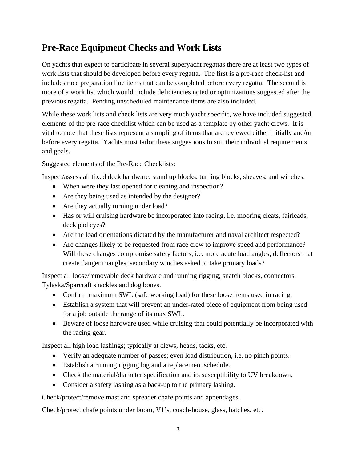#### **Pre-Race Equipment Checks and Work Lists**

On yachts that expect to participate in several superyacht regattas there are at least two types of work lists that should be developed before every regatta. The first is a pre-race check-list and includes race preparation line items that can be completed before every regatta. The second is more of a work list which would include deficiencies noted or optimizations suggested after the previous regatta. Pending unscheduled maintenance items are also included.

While these work lists and check lists are very much yacht specific, we have included suggested elements of the pre-race checklist which can be used as a template by other yacht crews. It is vital to note that these lists represent a sampling of items that are reviewed either initially and/or before every regatta. Yachts must tailor these suggestions to suit their individual requirements and goals.

Suggested elements of the Pre-Race Checklists:

Inspect/assess all fixed deck hardware; stand up blocks, turning blocks, sheaves, and winches.

- When were they last opened for cleaning and inspection?
- Are they being used as intended by the designer?
- Are they actually turning under load?
- Has or will cruising hardware be incorporated into racing, i.e. mooring cleats, fairleads, deck pad eyes?
- Are the load orientations dictated by the manufacturer and naval architect respected?
- Are changes likely to be requested from race crew to improve speed and performance? Will these changes compromise safety factors, i.e. more acute load angles, deflectors that create danger triangles, secondary winches asked to take primary loads?

Inspect all loose/removable deck hardware and running rigging; snatch blocks, connectors, Tylaska/Sparcraft shackles and dog bones.

- Confirm maximum SWL (safe working load) for these loose items used in racing.
- Establish a system that will prevent an under-rated piece of equipment from being used for a job outside the range of its max SWL.
- Beware of loose hardware used while cruising that could potentially be incorporated with the racing gear.

Inspect all high load lashings; typically at clews, heads, tacks, etc.

- Verify an adequate number of passes; even load distribution, i.e. no pinch points.
- Establish a running rigging log and a replacement schedule.
- Check the material/diameter specification and its susceptibility to UV breakdown.
- Consider a safety lashing as a back-up to the primary lashing.

Check/protect/remove mast and spreader chafe points and appendages.

Check/protect chafe points under boom, V1's, coach-house, glass, hatches, etc.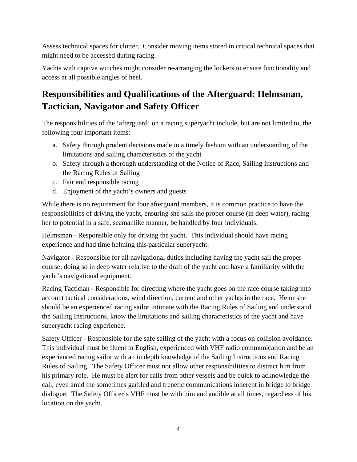Assess technical spaces for clutter. Consider moving items stored in critical technical spaces that might need to be accessed during racing.

Yachts with captive winches might consider re-arranging the lockers to ensure functionality and access at all possible angles of heel.

### **Responsibilities and Qualifications of the Afterguard: Helmsman, Tactician, Navigator and Safety Officer**

The responsibilities of the 'afterguard' on a racing superyacht include, but are not limited to, the following four important items:

- a. Safety through prudent decisions made in a timely fashion with an understanding of the limitations and sailing characteristics of the yacht
- b. Safety through a thorough understanding of the Notice of Race, Sailing Instructions and the Racing Rules of Sailing
- c. Fair and responsible racing
- d. Enjoyment of the yacht's owners and guests

While there is no requirement for four afterguard members, it is common practice to have the responsibilities of driving the yacht, ensuring she sails the proper course (in deep water), racing her to potential in a safe, seamanlike manner, be handled by four individuals:

Helmsman - Responsible only for driving the yacht. This individual should have racing experience and had time helming this particular superyacht.

Navigator - Responsible for all navigational duties including having the yacht sail the proper course, doing so in deep water relative to the draft of the yacht and have a familiarity with the yacht's navigational equipment.

Racing Tactician - Responsible for directing where the yacht goes on the race course taking into account tactical considerations, wind direction, current and other yachts in the race. He or she should be an experienced racing sailor intimate with the Racing Rules of Sailing and understand the Sailing Instructions, know the limitations and sailing characteristics of the yacht and have superyacht racing experience.

Safety Officer - Responsible for the safe sailing of the yacht with a focus on collision avoidance. This individual must be fluent in English, experienced with VHF radio communication and be an experienced racing sailor with an in depth knowledge of the Sailing Instructions and Racing Rules of Sailing. The Safety Officer must not allow other responsibilities to distract him from his primary role. He must be alert for calls from other vessels and be quick to acknowledge the call, even amid the sometimes garbled and frenetic communications inherent in bridge to bridge dialogue. The Safety Officer's VHF must be with him and audible at all times, regardless of his location on the yacht.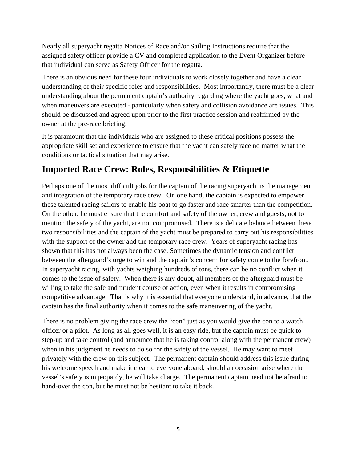Nearly all superyacht regatta Notices of Race and/or Sailing Instructions require that the assigned safety officer provide a CV and completed application to the Event Organizer before that individual can serve as Safety Officer for the regatta.

There is an obvious need for these four individuals to work closely together and have a clear understanding of their specific roles and responsibilities. Most importantly, there must be a clear understanding about the permanent captain's authority regarding where the yacht goes, what and when maneuvers are executed - particularly when safety and collision avoidance are issues. This should be discussed and agreed upon prior to the first practice session and reaffirmed by the owner at the pre-race briefing.

It is paramount that the individuals who are assigned to these critical positions possess the appropriate skill set and experience to ensure that the yacht can safely race no matter what the conditions or tactical situation that may arise.

#### **Imported Race Crew: Roles, Responsibilities & Etiquette**

Perhaps one of the most difficult jobs for the captain of the racing superyacht is the management and integration of the temporary race crew. On one hand, the captain is expected to empower these talented racing sailors to enable his boat to go faster and race smarter than the competition. On the other, he must ensure that the comfort and safety of the owner, crew and guests, not to mention the safety of the yacht, are not compromised. There is a delicate balance between these two responsibilities and the captain of the yacht must be prepared to carry out his responsibilities with the support of the owner and the temporary race crew. Years of superyacht racing has shown that this has not always been the case. Sometimes the dynamic tension and conflict between the afterguard's urge to win and the captain's concern for safety come to the forefront. In superyacht racing, with yachts weighing hundreds of tons, there can be no conflict when it comes to the issue of safety. When there is any doubt, all members of the afterguard must be willing to take the safe and prudent course of action, even when it results in compromising competitive advantage. That is why it is essential that everyone understand, in advance, that the captain has the final authority when it comes to the safe maneuvering of the yacht.

There is no problem giving the race crew the "con" just as you would give the con to a watch officer or a pilot. As long as all goes well, it is an easy ride, but the captain must be quick to step-up and take control (and announce that he is taking control along with the permanent crew) when in his judgment he needs to do so for the safety of the vessel. He may want to meet privately with the crew on this subject. The permanent captain should address this issue during his welcome speech and make it clear to everyone aboard, should an occasion arise where the vessel's safety is in jeopardy, he will take charge. The permanent captain need not be afraid to hand-over the con, but he must not be hesitant to take it back.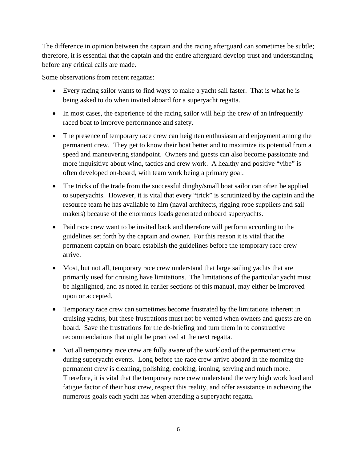The difference in opinion between the captain and the racing afterguard can sometimes be subtle; therefore, it is essential that the captain and the entire afterguard develop trust and understanding before any critical calls are made.

Some observations from recent regattas:

- Every racing sailor wants to find ways to make a yacht sail faster. That is what he is being asked to do when invited aboard for a superyacht regatta.
- In most cases, the experience of the racing sailor will help the crew of an infrequently raced boat to improve performance and safety.
- The presence of temporary race crew can heighten enthusiasm and enjoyment among the permanent crew. They get to know their boat better and to maximize its potential from a speed and maneuvering standpoint. Owners and guests can also become passionate and more inquisitive about wind, tactics and crew work. A healthy and positive "vibe" is often developed on-board, with team work being a primary goal.
- The tricks of the trade from the successful dinghy/small boat sailor can often be applied to superyachts. However, it is vital that every "trick" is scrutinized by the captain and the resource team he has available to him (naval architects, rigging rope suppliers and sail makers) because of the enormous loads generated onboard superyachts.
- Paid race crew want to be invited back and therefore will perform according to the guidelines set forth by the captain and owner. For this reason it is vital that the permanent captain on board establish the guidelines before the temporary race crew arrive.
- Most, but not all, temporary race crew understand that large sailing yachts that are primarily used for cruising have limitations. The limitations of the particular yacht must be highlighted, and as noted in earlier sections of this manual, may either be improved upon or accepted.
- Temporary race crew can sometimes become frustrated by the limitations inherent in cruising yachts, but these frustrations must not be vented when owners and guests are on board. Save the frustrations for the de-briefing and turn them in to constructive recommendations that might be practiced at the next regatta.
- Not all temporary race crew are fully aware of the workload of the permanent crew during superyacht events. Long before the race crew arrive aboard in the morning the permanent crew is cleaning, polishing, cooking, ironing, serving and much more. Therefore, it is vital that the temporary race crew understand the very high work load and fatigue factor of their host crew, respect this reality, and offer assistance in achieving the numerous goals each yacht has when attending a superyacht regatta.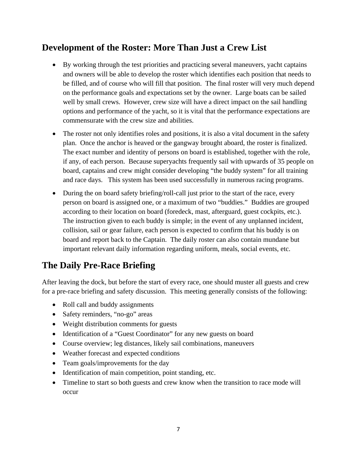#### **Development of the Roster: More Than Just a Crew List**

- By working through the test priorities and practicing several maneuvers, yacht captains and owners will be able to develop the roster which identifies each position that needs to be filled, and of course who will fill that position. The final roster will very much depend on the performance goals and expectations set by the owner. Large boats can be sailed well by small crews. However, crew size will have a direct impact on the sail handling options and performance of the yacht, so it is vital that the performance expectations are commensurate with the crew size and abilities.
- The roster not only identifies roles and positions, it is also a vital document in the safety plan. Once the anchor is heaved or the gangway brought aboard, the roster is finalized. The exact number and identity of persons on board is established, together with the role, if any, of each person. Because superyachts frequently sail with upwards of 35 people on board, captains and crew might consider developing "the buddy system" for all training and race days. This system has been used successfully in numerous racing programs.
- During the on board safety briefing/roll-call just prior to the start of the race, every person on board is assigned one, or a maximum of two "buddies." Buddies are grouped according to their location on board (foredeck, mast, afterguard, guest cockpits, etc.). The instruction given to each buddy is simple; in the event of any unplanned incident, collision, sail or gear failure, each person is expected to confirm that his buddy is on board and report back to the Captain. The daily roster can also contain mundane but important relevant daily information regarding uniform, meals, social events, etc.

#### **The Daily Pre-Race Briefing**

After leaving the dock, but before the start of every race, one should muster all guests and crew for a pre-race briefing and safety discussion. This meeting generally consists of the following:

- Roll call and buddy assignments
- Safety reminders, "no-go" areas
- Weight distribution comments for guests
- Identification of a "Guest Coordinator" for any new guests on board
- Course overview; leg distances, likely sail combinations, maneuvers
- Weather forecast and expected conditions
- Team goals/improvements for the day
- Identification of main competition, point standing, etc.
- Timeline to start so both guests and crew know when the transition to race mode will occur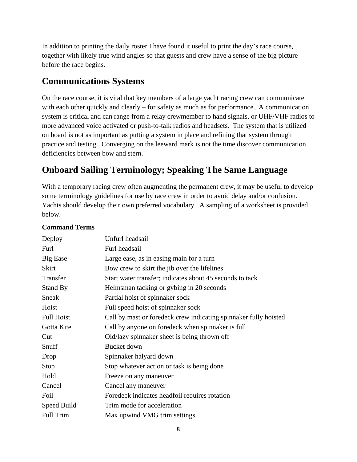In addition to printing the daily roster I have found it useful to print the day's race course, together with likely true wind angles so that guests and crew have a sense of the big picture before the race begins.

#### **Communications Systems**

On the race course, it is vital that key members of a large yacht racing crew can communicate with each other quickly and clearly – for safety as much as for performance. A communication system is critical and can range from a relay crewmember to hand signals, or UHF/VHF radios to more advanced voice activated or push-to-talk radios and headsets. The system that is utilized on board is not as important as putting a system in place and refining that system through practice and testing. Converging on the leeward mark is not the time discover communication deficiencies between bow and stern.

#### **Onboard Sailing Terminology; Speaking The Same Language**

With a temporary racing crew often augmenting the permanent crew, it may be useful to develop some terminology guidelines for use by race crew in order to avoid delay and/or confusion. Yachts should develop their own preferred vocabulary. A sampling of a worksheet is provided below.

| Deploy            | Unfurl headsail                                                  |
|-------------------|------------------------------------------------------------------|
| Furl              | Furl headsail                                                    |
| <b>Big Ease</b>   | Large ease, as in easing main for a turn                         |
| <b>Skirt</b>      | Bow crew to skirt the jib over the lifelines                     |
| Transfer          | Start water transfer; indicates about 45 seconds to tack         |
| Stand By          | Helmsman tacking or gybing in 20 seconds                         |
| Sneak             | Partial hoist of spinnaker sock                                  |
| Hoist             | Full speed hoist of spinnaker sock                               |
| <b>Full Hoist</b> | Call by mast or foredeck crew indicating spinnaker fully hoisted |
| Gotta Kite        | Call by anyone on foredeck when spinnaker is full                |
| Cut               | Old/lazy spinnaker sheet is being thrown off                     |
| Snuff             | Bucket down                                                      |
| Drop              | Spinnaker halyard down                                           |
| Stop              | Stop whatever action or task is being done                       |
| Hold              | Freeze on any maneuver                                           |
| Cancel            | Cancel any maneuver                                              |
| Foil              | Foredeck indicates headfoil requires rotation                    |
| Speed Build       | Trim mode for acceleration                                       |
| <b>Full Trim</b>  | Max upwind VMG trim settings                                     |

#### **Command Terms**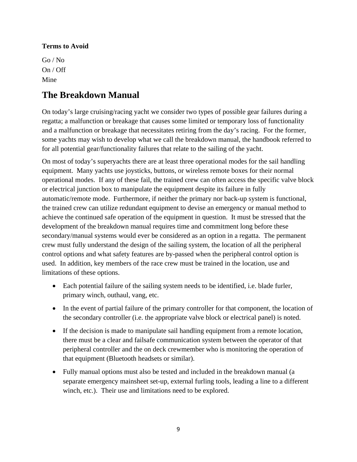#### **Terms to Avoid**

Go / No On / Off Mine

#### **The Breakdown Manual**

On today's large cruising/racing yacht we consider two types of possible gear failures during a regatta; a malfunction or breakage that causes some limited or temporary loss of functionality and a malfunction or breakage that necessitates retiring from the day's racing. For the former, some yachts may wish to develop what we call the breakdown manual, the handbook referred to for all potential gear/functionality failures that relate to the sailing of the yacht.

On most of today's superyachts there are at least three operational modes for the sail handling equipment. Many yachts use joysticks, buttons, or wireless remote boxes for their normal operational modes. If any of these fail, the trained crew can often access the specific valve block or electrical junction box to manipulate the equipment despite its failure in fully automatic/remote mode. Furthermore, if neither the primary nor back-up system is functional, the trained crew can utilize redundant equipment to devise an emergency or manual method to achieve the continued safe operation of the equipment in question. It must be stressed that the development of the breakdown manual requires time and commitment long before these secondary/manual systems would ever be considered as an option in a regatta. The permanent crew must fully understand the design of the sailing system, the location of all the peripheral control options and what safety features are by-passed when the peripheral control option is used. In addition, key members of the race crew must be trained in the location, use and limitations of these options.

- Each potential failure of the sailing system needs to be identified, i.e. blade furler, primary winch, outhaul, vang, etc.
- In the event of partial failure of the primary controller for that component, the location of the secondary controller (i.e. the appropriate valve block or electrical panel) is noted.
- If the decision is made to manipulate sail handling equipment from a remote location, there must be a clear and failsafe communication system between the operator of that peripheral controller and the on deck crewmember who is monitoring the operation of that equipment (Bluetooth headsets or similar).
- Fully manual options must also be tested and included in the breakdown manual (a separate emergency mainsheet set-up, external furling tools, leading a line to a different winch, etc.). Their use and limitations need to be explored.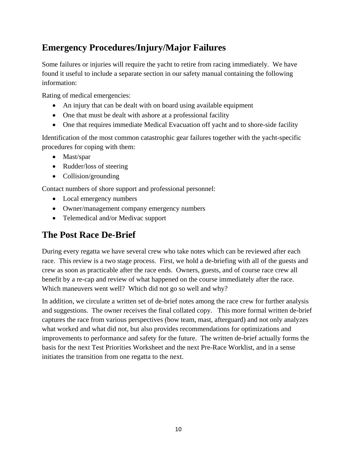#### **Emergency Procedures/Injury/Major Failures**

Some failures or injuries will require the yacht to retire from racing immediately. We have found it useful to include a separate section in our safety manual containing the following information:

Rating of medical emergencies:

- An injury that can be dealt with on board using available equipment
- One that must be dealt with ashore at a professional facility
- One that requires immediate Medical Evacuation off yacht and to shore-side facility

Identification of the most common catastrophic gear failures together with the yacht-specific procedures for coping with them:

- Mast/spar
- Rudder/loss of steering
- Collision/grounding

Contact numbers of shore support and professional personnel:

- Local emergency numbers
- Owner/management company emergency numbers
- Telemedical and/or Medivac support

#### **The Post Race De-Brief**

During every regatta we have several crew who take notes which can be reviewed after each race. This review is a two stage process. First, we hold a de-briefing with all of the guests and crew as soon as practicable after the race ends. Owners, guests, and of course race crew all benefit by a re-cap and review of what happened on the course immediately after the race. Which maneuvers went well? Which did not go so well and why?

In addition, we circulate a written set of de-brief notes among the race crew for further analysis and suggestions. The owner receives the final collated copy. This more formal written de-brief captures the race from various perspectives (bow team, mast, afterguard) and not only analyzes what worked and what did not, but also provides recommendations for optimizations and improvements to performance and safety for the future. The written de-brief actually forms the basis for the next Test Priorities Worksheet and the next Pre-Race Worklist, and in a sense initiates the transition from one regatta to the next.